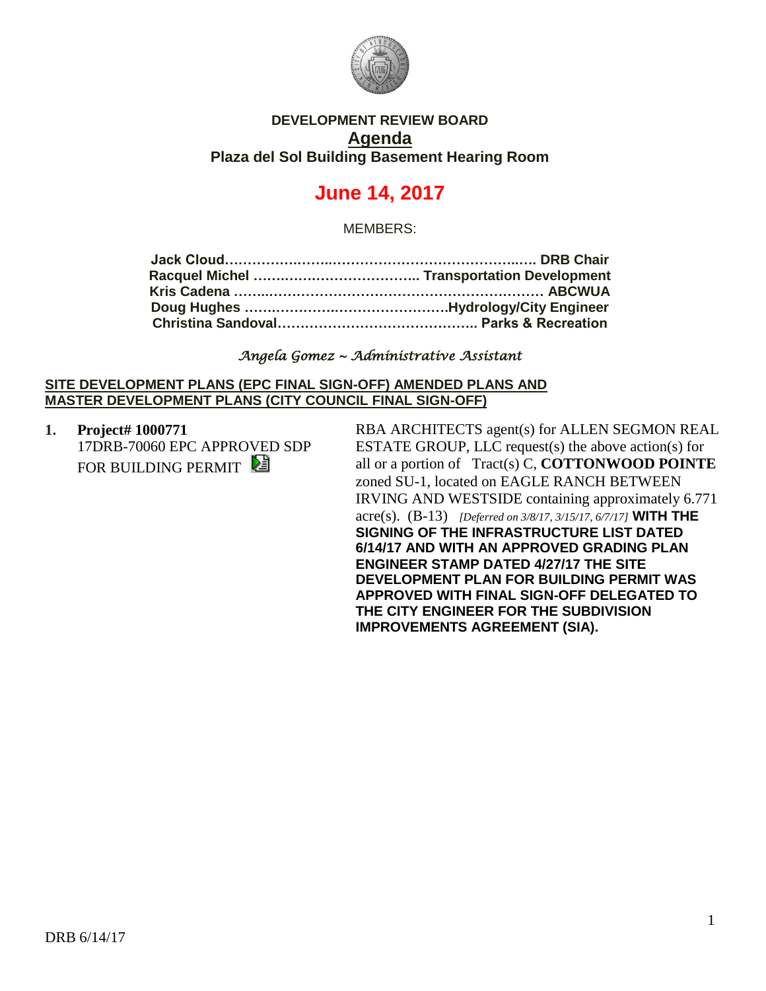

## **DEVELOPMENT REVIEW BOARD Agenda Plaza del Sol Building Basement Hearing Room**

# **June 14, 2017**

MEMBERS:

#### *Angela Gomez ~ Administrative Assistant*

#### **SITE DEVELOPMENT PLANS (EPC FINAL SIGN-OFF) AMENDED PLANS AND MASTER DEVELOPMENT PLANS (CITY COUNCIL FINAL SIGN-OFF)**

**1. Project# 1000771** 17DRB-70060 EPC APPROVED SDP FOR BUILDING PERMIT

RBA ARCHITECTS agent(s) for ALLEN SEGMON REAL ESTATE GROUP, LLC request(s) the above action(s) for all or a portion of Tract(s) C, **COTTONWOOD POINTE** zoned SU-1, located on EAGLE RANCH BETWEEN IRVING AND WESTSIDE containing approximately 6.771 acre(s). (B-13) *[Deferred on 3/8/17, 3/15/17, 6/7/17]* **WITH THE SIGNING OF THE INFRASTRUCTURE LIST DATED 6/14/17 AND WITH AN APPROVED GRADING PLAN ENGINEER STAMP DATED 4/27/17 THE SITE DEVELOPMENT PLAN FOR BUILDING PERMIT WAS APPROVED WITH FINAL SIGN-OFF DELEGATED TO THE CITY ENGINEER FOR THE SUBDIVISION IMPROVEMENTS AGREEMENT (SIA).**